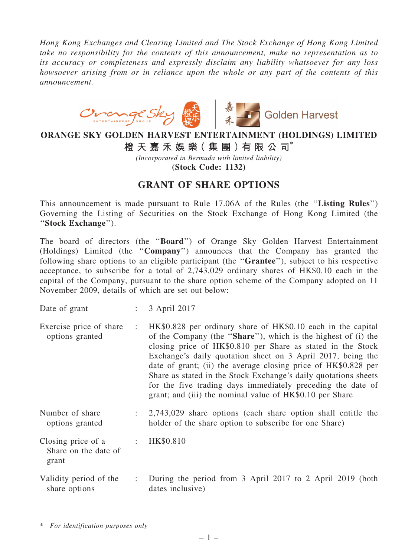*Hong Kong Exchanges and Clearing Limited and The Stock Exchange of Hong Kong Limited take no responsibility for the contents of this announcement, make no representation as to its accuracy or completeness and expressly disclaim any liability whatsoever for any loss howsoever arising from or in reliance upon the whole or any part of the contents of this announcement.*



## ORANGE SKY GOLDEN HARVEST ENTERTAINMENT (HOLDINGS) LIMITED

橙 天 嘉 禾 娛 樂 (集 團 ) 有 限 公 司 $^*$ 

*(Incorporated in Bermuda with limited liability)*

(Stock Code: 1132)

## GRANT OF SHARE OPTIONS

This announcement is made pursuant to Rule 17.06A of the Rules (the ''Listing Rules'') Governing the Listing of Securities on the Stock Exchange of Hong Kong Limited (the ''Stock Exchange'').

The board of directors (the ''Board'') of Orange Sky Golden Harvest Entertainment (Holdings) Limited (the ''Company'') announces that the Company has granted the following share options to an eligible participant (the ''Grantee''), subject to his respective acceptance, to subscribe for a total of 2,743,029 ordinary shares of HK\$0.10 each in the capital of the Company, pursuant to the share option scheme of the Company adopted on 11 November 2009, details of which are set out below:

| Date of grant |  | 3 April 2017 |  |
|---------------|--|--------------|--|
|               |  |              |  |

- Exercise price of share options granted : HK\$0.828 per ordinary share of HK\$0.10 each in the capital of the Company (the ''Share''), which is the highest of (i) the closing price of HK\$0.810 per Share as stated in the Stock Exchange's daily quotation sheet on 3 April 2017, being the date of grant; (ii) the average closing price of HK\$0.828 per Share as stated in the Stock Exchange's daily quotations sheets for the five trading days immediately preceding the date of grant; and (iii) the nominal value of HK\$0.10 per Share
- Number of share options granted : 2,743,029 share options (each share option shall entitle the holder of the share option to subscribe for one Share)
- Closing price of a Share on the date of grant : HK\$0.810
- Validity period of the share options : During the period from 3 April 2017 to 2 April 2019 (both dates inclusive)